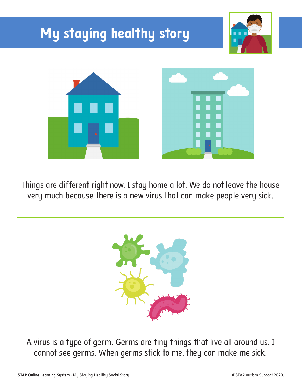

Things are different right now. I stay home a lot. We do not leave the house very much because there is a new virus that can make people very sick.



A virus is a type of germ. Germs are tiny things that live all around us. I cannot see germs. When germs stick to me, they can make me sick.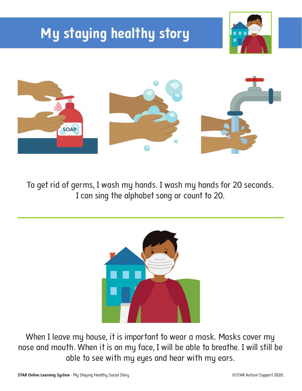## **My staying healthy story**





To get rid of germs, I wash my hands. I wash my hands for 20 seconds. I can sing the alphabet song or count to 20.



When I leave my house, it is important to wear a mask. Masks cover my nose and mouth. When it is on my face, I will be able to breathe. I will still be able to see with my eyes and hear with my ears.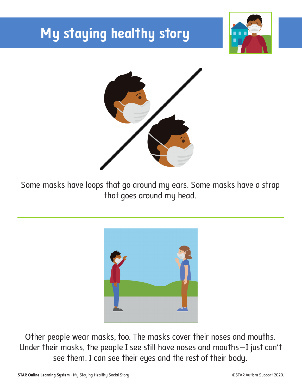## **My staying healthy story**





Some masks have loops that go around my ears. Some masks have a strap that goes around my head.



Other people wear masks, too. The masks cover their noses and mouths. Under their masks, the people I see still have noses and mouths—I just can't see them. I can see their eyes and the rest of their body.